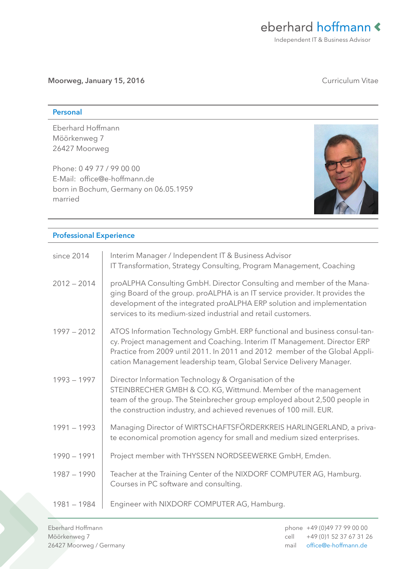Moorweg, January 15, 2016 **Curriculum Vitae** 

## Personal

Eberhard Hoffmann Möörkenweg 7 26427 Moorweg

Phone: 0 49 77 / 99 00 00 E-Mail: office@e-hoffmann.de born in Bochum, Germany on 06.05.1959 married



## Professional Experience

| since 2014    | Interim Manager / Independent IT & Business Advisor<br>IT Transformation, Strategy Consulting, Program Management, Coaching                                                                                                                                                                                 |
|---------------|-------------------------------------------------------------------------------------------------------------------------------------------------------------------------------------------------------------------------------------------------------------------------------------------------------------|
| $2012 - 2014$ | proALPHA Consulting GmbH. Director Consulting and member of the Mana-<br>ging Board of the group. proALPHA is an IT service provider. It provides the<br>development of the integrated proALPHA ERP solution and implementation<br>services to its medium-sized industrial and retail customers.            |
| $1997 - 2012$ | ATOS Information Technology GmbH. ERP functional and business consul-tan-<br>cy. Project management and Coaching. Interim IT Management. Director ERP<br>Practice from 2009 until 2011. In 2011 and 2012 member of the Global Appli-<br>cation Management leadership team, Global Service Delivery Manager. |
| $1993 - 1997$ | Director Information Technology & Organisation of the<br>STEINBRECHER GMBH & CO. KG, Wittmund. Member of the management<br>team of the group. The Steinbrecher group employed about 2,500 people in<br>the construction industry, and achieved revenues of 100 mill. EUR.                                   |
| $1991 - 1993$ | Managing Director of WIRTSCHAFTSFÖRDERKREIS HARLINGERLAND, a priva-<br>te economical promotion agency for small and medium sized enterprises.                                                                                                                                                               |
| $1990 - 1991$ | Project member with THYSSEN NORDSEEWERKE GmbH, Emden.                                                                                                                                                                                                                                                       |
| $1987 - 1990$ | Teacher at the Training Center of the NIXDORF COMPUTER AG, Hamburg.<br>Courses in PC software and consulting.                                                                                                                                                                                               |
| $1981 - 1984$ | Engineer with NIXDORF COMPUTER AG, Hamburg.                                                                                                                                                                                                                                                                 |